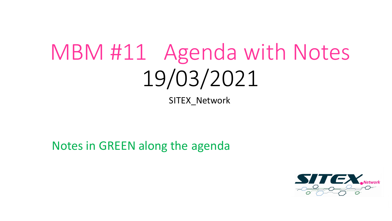# MBM #11 Agenda with Notes 19/03/2021

SITEX Network

Notes in GREEN along the agenda

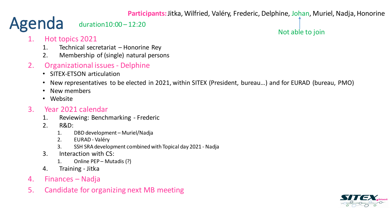**Participants:** Jitka, Wilfried, Valéry, Frederic, Delphine, Johan, Muriel, Nadja, Honorine

#### Agenda duration10:00 – 12:20

#### Not able to join

- 1. Hot topics 2021
	- 1. Technical secretariat Honorine Rey
	- 2. Membership of (single) natural persons
- 2. Organizational issues Delphine
	- SITEX-ETSON articulation
	- New representatives to be elected in 2021, within SITEX (President, bureau…) and for EURAD (bureau, PMO)
	- New members
	- Website

#### 3. Year 2021 calendar

- 1. Reviewing: Benchmarking Frederic
- 2. R&D:
	- 1. DBD development Muriel/Nadja
	- 2. EURAD Valéry
	- 3. SSH SRA development combined with Topical day 2021 Nadja
- 3. Interaction with CS:
	- 1. Online PEP Mutadis (?)
- 4. Training Jitka
- 4. Finances Nadja
- 5. Candidate for organizing next MB meeting

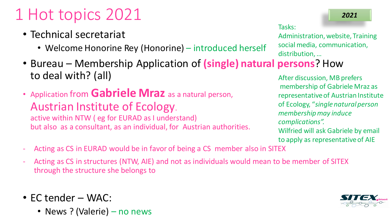## 1 Hot topics 2021

- Technical secretariat
	- Welcome Honorine Rey (Honorine) introduced herself
- Bureau Membership Application of **(single) natural persons**? How to deal with? (all)
- Application from **Gabriele Mraz** as a natural person, Austrian Institute of Ecology. active within NTW ( eg for EURAD as I understand) but also as a consultant, as an individual, for Austrian authorities.

Tasks:

Administration, website, Training social media, communication, distribution, …

*2021*

After discussion, MB prefers membership of Gabriele Mraz as representative of Austrian Institute of Ecology, "*single natural person membership may induce complications".* Wilfried will ask Gabriele by email to apply as representative of AIE

- Acting as CS in EURAD would be in favor of being a CS member also in SITEX
- Acting as CS in structures (NTW, AIE) and not as individuals would mean to be member of SITEX through the structure she belongs to
- EC tender WAC:
	- News ? (Valerie) no news

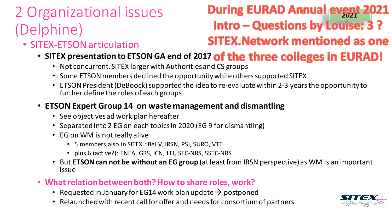### 2 Organizational issues (Delphine)

- SITEX-ETSON articulation
	- **SITEX presentation to ETSON GA end of 2017 of the three colleges in EURAD!**

**During EURAD Annual event 2021**<br>**Intro – Questions by Louise: 3?** 

**SITEX. Network mentioned as one** 

- Not concurrent. SITEX larger with Authorities and CS groups
- Some ETSON members declined the opportunity while others supported SITEX
- ETSON President (DeBoock) supported the idea to re-evaluate within 2-3 years the opportunity to further define the roles of each groups

### • **ETSON Expert Group 14 on waste management and dismantling**

- See objectives ad work plan hereafter
- Separated into 2 EG on each topics in 2020 (EG 9 for dismantling)
- EG on WM is not really alive
	- 5 members also in SITEX : Bel V, IRSN, PSI, SURO, VTT
	- plus 6 (active?): ENEA, GRS, ICN, LEI, SEC-NRS, SSTC-NRS
- But **ETSON can not be without an EG group** (at least from IRSN perspective) as WM is an important issue
- **What relation between both? How to share roles, work?**
	- Requested in January for EG14 work plan update  $\rightarrow$  postponed
	- Relaunched with recent call for offer and needs for consortium of partners

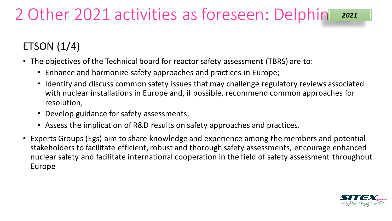### ETSON (1/4)

- The objectives of the Technical board for reactor safety assessment (TBRS) are to:
	- Enhance and harmonize safety approaches and practices in Europe;
	- Identify and discuss common safety issues that may challenge regulatory reviews associated with nuclear installations in Europe and, if possible, recommend common approaches for resolution;
	- Develop guidance for safety assessments;
	- Assess the implication of R&D results on safety approaches and practices.
- Experts Groups (Egs) aim to share knowledge and experience among the members and potential stakeholders to facilitate efficient, robust and thorough safety assessments, encourage enhanced nuclear safety and facilitate international cooperation in the field of safety assessment throughout Europe

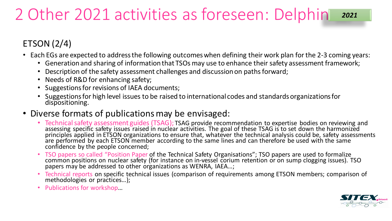### ETSON (2/4)

- Each EGs are expected to address the following outcomes when defining their work plan for the 2-3 coming years:
	- Generation and sharing of information that TSOs may use to enhance their safety assessment framework;
	- Description of the safety assessment challenges and discussion on paths forward;
	- Needs of R&D for enhancing safety;
	- Suggestions for revisions of IAEA documents;
	- Suggestions for high level issues to be raised to international codes and standards organizations for dispositioning.
- Diverse formats of publications may be envisaged:
	- Technical safety assessment guides (TSAG); TSAG provide recommendation to expertise bodies on reviewing and<br>assessing specific safety issues raised in nuclear activities. The goal of these TSAG is to set down the harmoni principles applied in ETSON organizations to ensure that, whatever the technical analysis could be, safety assessments are performed by each ETSON member according to the same lines and can therefore be used with the same confidence by the people concerned;
	- TSO papers so called "Position Paper of the Technical Safety Organisations"; TSO papers are used to formalize<br>common positions on nuclear safety (for instance on in-vessel corium retention or on sump clogging issues). TS papers may be addressed to other organizations as WENRA, IAEA...;
	- Technical reports on specific technical issues (comparison of requirements among ETSON members; comparison of methodologies or practices...);
	- Publications for workshop…

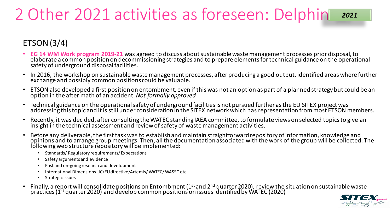### ETSON (3/4)

- **EG 14 WM Work program 2019-21** was agreed to discuss about sustainable waste management processes prior disposal, to<br>elaborate a common position on decommissioning strategies and to prepare elements for technical guidance safety of underground disposal facilities.
- In 2016, the workshop on sustainable waste management processes, after producing a good output, identified areas where further exchange and possibly common positions could be valuable.
- ETSON also developed a first position on entombment, even if this was not an option as part of a planned strategy but could be an option in the after math of an accident. *Not formally approved*
- Technical guidance on the operational safety of underground facilities is not pursued further as the EU SITEX project was addressing this topic and it is still under consideration in the SITEX network which has representation from most ETSON members.
- Recently, it was decided, after consulting the WATEC standing IAEA committee, to formulate views on selected topics to give an insight in the technical assessment and review of safety of waste management activities.
- Before any deliverable, the first task was to establish and maintain straightforward repository of information, knowledge and opinions and to arrange group meetings. Then, all the documentation associated with the work of the group will be collected. The following web structure repository will be implemented:
	- Standards/ Regulatory requirements/ Expectations
	- Safety arguments and evidence
	- Past and on-going research and development
	- International Dimensions- JC/EU directive/Artemis/ WATEC/ WASSC etc…
	- Strategic Issues
- Finally, a report will consolidate positions on Entombment (1<sup>st</sup> and 2<sup>nd</sup> quarter 2020), review the situation on sustainable waste<br>practices (1<sup>st</sup> quarter 2020) and develop common positions on issues identified by WAT

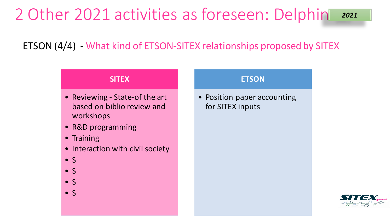ETSON (4/4) - What kind of ETSON-SITEX relationships proposed by SITEX

#### **SITEX**

- Reviewing State-of the art based on biblio review and workshops
- R&D programming
- Training
- Interaction with civil society
- $\bullet$  S
- $\bullet$  S
- S
- $\bullet$  S

#### **ETSON**

• Position paper accounting for SITEX inputs

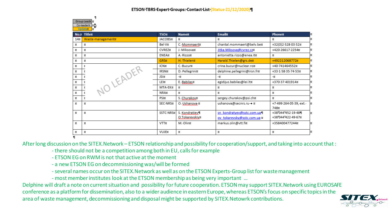|      | Group Leade o<br>Co-leader X X 1<br><b>Updater</b><br>ŭ |                |                |                              |                                 |    |
|------|---------------------------------------------------------|----------------|----------------|------------------------------|---------------------------------|----|
| No.¤ | <b>Titlex</b>                                           | <b>TSON</b>    | <b>Namex</b>   | <b>Emailt</b>                | Phone¤                          | Й  |
| 14¤  | Waste-management¤                                       | <b>JACOBS¤</b> | д              | ¤                            | ¤                               | Þ  |
| ¤    | ¤                                                       | Bel-V¤         | C. Mommaert¤   | chantal.mommaert@belv.be¤    | +32(0)2-528-03-52¤              | Þ  |
| ¤    | ¤                                                       | CVREZ¤         | J.-Miksova¤    | Jitka.Miksova@cvrez.czn      | +420-26617-2254¤                | Ι¤ |
| ¤    | ¤                                                       | ENEA¤          | A.-Rizzo¤      | antonietta.rizzo@enea.it¤    | ¤                               | Þ  |
| ¤    | ¤                                                       | <b>GRS¤</b>    | H.-Thielen¤    | Harald.Thielen@grs.de¤       | +492212068772¤                  | Þ  |
| ¤    |                                                         | ICN¤           | C.-Bucur¤      | crina.bucur@nuclear.ro¤      | +40-741464552¤                  | Þ  |
| ¤    |                                                         | IRSN¤          | D. Pellegrini¤ | delphine.pellegrini@irsn.fr¤ | +33-1-58-35-74-53¤              | Þ  |
| ¤    | NO LEADER                                               | JSI¤           | -¤             | -¤                           | -¤                              | Þ  |
| ¤    |                                                         | LEI¤           | E. Babilas¤    | egidijus.babilas@lei.ltx     | +370-37-401914¤                 | Þ  |
| ¤    |                                                         | MTA-EK¤        | p,             | ¤                            | ¤                               | Þ  |
| ¤    | t                                                       | NRA¤           | ¤              | ¤                            | ¤                               | Þ  |
| ¤    | ŗ                                                       | PSI¤           | S. Churakov¤   | sergey.churakov@psi.ch¤      | ¤                               |    |
| ø    | ¤                                                       | SEC-NRS¤       | O. Ushanova ¤  | ushanova@secnrs.ru→ ¤        | +7-499-264-05-39, ext.-<br>748¤ | 1¤ |
| ¤    | ¤                                                       | SSTC-NRS¤      | S. Kondratiev¶ | sn kondratyev@sstc.com.ua'll | +38°044°452-19-48¶              | Þ  |
|      |                                                         |                | O.Tokarevskiv¤ | ov tokarevsky@sstc.com.ua x  | +38°044°422-49-67¤              |    |
| ¤    | ¤                                                       | VTT¤           | M.-Olin¤       | markus.olin@vtt.fi¤          | +358400477244¤                  | Þ  |
| ¤    | ¤                                                       | VUJE¤          | ¤              | ¤                            | ¤                               | Þ  |
|      |                                                         |                |                |                              |                                 |    |

After long discussion on the SITEX.Network – ETSON relationship and possibility for cooperation/support, and taking into account that :

- there should not be a competition among both in EU, calls for example
- ETSON EG on RWM is not that active at the moment
- a new ETSON EG on decommissioning was/will be formed
- -several names occur on the SITEX.Network as well as on the ETSON Experts-Group list for waste management
- most member institutes look at the ETSON membership as being very important …

Delphine will draft a note on current situation and possibility for future cooperation. ETSON may support SITEX.Network using EUROSAFE conference as a platform for dissemination, also to a wider audience in eastern Europe, whereas ETSON's focus on specific topicsin the area of waste management, decommissioning and disposal might be supported by SITEX.Netowrk contributions.

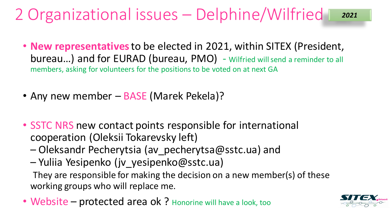#### 2 Organizational issues – Delphine/Wilfried *2021*

- **New representatives** to be elected in 2021, within SITEX (President, bureau...) and for EURAD (bureau, PMO) - Wilfried will send a reminder to all members, asking for volunteers for the positions to be voted on at next GA
- Any new member BASE (Marek Pekela)?
- SSTC NRS new contact points responsible for international cooperation (Oleksii Tokarevsky left)
	- Oleksandr Pecherytsia (av\_pecherytsa@sstc.ua) and
	- Yuliia Yesipenko (jv\_yesipenko@sstc.ua) They are responsible for making the decision on a new member(s) of these working groups who will replace me.
- Website protected area ok ? Honorine will have a look, too

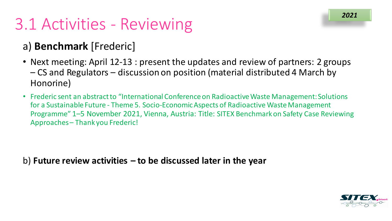## 3.1 Activities - Reviewing

### a) **Benchmark** [Frederic]

- Next meeting: April 12-13 : present the updates and review of partners: 2 groups – CS and Regulators – discussion on position (material distributed 4 March by Honorine)
- Frederic sent an abstract to "International Conference on Radioactive Waste Management: Solutions for a Sustainable Future - Theme 5. Socio-Economic Aspects of Radioactive Waste Management Programme" 1–5 November 2021, Vienna, Austria: Title: SITEX Benchmark on Safety Case Reviewing Approaches – Thank you Frederic!

b) **Future review activities – to be discussed later in the year**

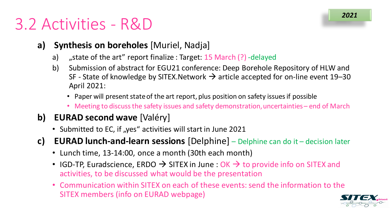### 3.2 Activities - R&D

- **a) Synthesis on boreholes** [Muriel, Nadja]
	- a) "state of the art" report finalize : Target: 15 March (?) -delayed
	- b) Submission of abstract for EGU21 conference: Deep Borehole Repository of HLW and SF - State of knowledge by SITEX. Network  $\rightarrow$  article accepted for on-line event 19–30 April 2021:
		- Paper will present state of the art report, plus position on safety issues if possible
		- Meeting to discuss the safety issues and safety demonstration, uncertainties end of March
- **b) EURAD second wave** [Valéry]
	- Submitted to EC, if "yes" activities will start in June 2021
- **c) EURAD lunch-and-learn sessions** [Delphine] Delphine can do it decision later
	- Lunch time, 13-14:00, once a month (30th each month)
	- IGD-TP, Euradscience, ERDO  $\rightarrow$  SITEX in June : OK  $\rightarrow$  to provide info on SITEX and activities, to be discussed what would be the presentation
	- Communication within SITEX on each of these events: send the information to the SITEX members (info on EURAD webpage)



*2021*

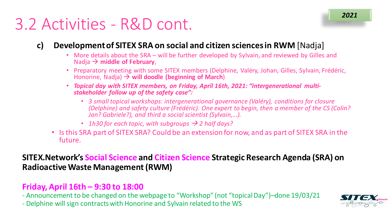### 3.2 Activities - R&D cont.

#### **c) Development of SITEX SRA on social and citizen sciences in RWM** [Nadja]

- More details about the SRA will be further developed by Sylvain, and reviewed by Gilles and Nadja  $\rightarrow$  middle of February,
- Preparatory meeting with some SITEX members (Delphine, Valéry, Johan, Gilles, Sylvain, Frédéric, Honorine, Nadja) **will doodle (beginning of March**)
- *Topical day with SITEX members, on Friday, April 16th, 2021: "Intergenerational multi- stakeholder follow up of the safety case":*
	- *3 small topical workshops: intergenerational governance (Valéry), conditions for closure (Delphine) and safety culture (Frédéric). One expert to begin, then a member of the CS (Colin? Jan? Gabriele?), and third a social scientist (Sylvain,...).*
	- *1h30 for each topic, with subgroups 2 half days?*
- Is this SRA part of SITEX SRA? Could be an extension for now, and as part of SITEX SRA in the future.

#### **SITEX.Network's Social Science and Citizen Science Strategic Research Agenda (SRA) on Radioactive Waste Management (RWM)**

#### **Friday, April 16th – 9:30 to 18:00**

- Announcement to be changed on the webpage to "Workshop" (not "topical Day")–done 19/03/21

- Delphine will sign contracts with Honorine and Sylvain related to the WS

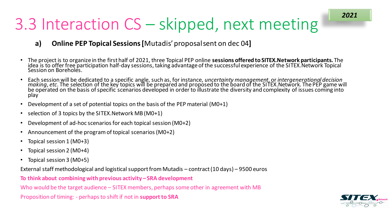## 3.3 Interaction CS – skipped, next meeting

#### **a) Online PEP Topical Sessions [**Mutadis' proposal sent on dec 04**]**

- The project is to organize in the first half of 2021, three Topical PEP online **sessions offered to SITEX.Network participants.** The idea is to offer free participation half-day sessions, taking advantage of the successful experience of the SITEX.Network Topical<br>Session on Boreholes.
- Each session will be dedicated to a specific angle, such as, for instance, uncertainty management, or intergenerational decision<br>making, etc. The selection of the key topics will be prepared and proposed to the board of th play
- Development of a set of potential topics on the basis of the PEP material (M0+1)
- selection of 3 topics by the SITEX.Network MB (M0+1)
- Development of ad-hoc scenarios for each topical session (M0+2)
- Announcement of the program of topical scenarios (M0+2)
- Topical session 1 (M0+3)
- Topical session 2 (M0+4)
- Topical session 3 (M0+5)

External staff methodological and logistical support from Mutadis – contract (10 days) – 9500 euros

**To think about combining with previous activity – SRA development**

Who would be the target audience – SITEX members, perhaps some other in agreement with MB

Proposition of timing: - perhaps to shift if not in **support to SRA**

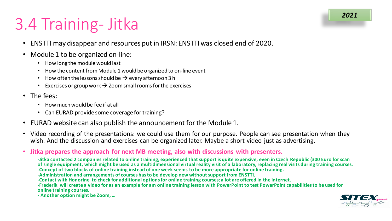## 3.4 Training- Jitka

- ENSTTI may disappear and resources put in IRSN: ENSTTI was closed end of 2020.
- Module 1 to be organized on-line:
	- How long the module would last
	- How the content from Module 1 would be organized to on-line event
	- How often the lessons should be  $\rightarrow$  every afternoon 3 h
	- Exercises or group work  $\rightarrow$  Zoom small rooms for the exercises
- The fees:
	- How much would be fee if at all
	- Can EURAD provide some coverage for training?
- EURAD website can also publish the announcement for the Module 1.
- Video recording of the presentations: we could use them for our purpose. People can see presentation when they wish. And the discussion and exercises can be organized later. Maybe a short video just as advertising.
- **Jitka prepares the approach for next MB meeting, also with discussions with presenters.**

**-Jitka contacted 2 companies related to online training, experienced that support is quite expensive, even in Czech Republic (300 Euro for scan of single equipment, which might be used as a multidimensional virtual reality visit of a laboratory, replacing real visits during training courses.** 

- **-Concept of two blocks of online training instead of one week seems to be more appropriate for online training.**
- **-Administration and arrangements of courses has to be develop new without support from ENSTTI.**
- **-Contact with Honorine to check for additional options for online training courses; a lot are offered in the internet.**

**-Frederik will create a video for as an example for am online training lesson with PowerPoint to test PowerPoint capabilitiesto be used for online training courses.** 

**- Another option might be Zoom, …** 

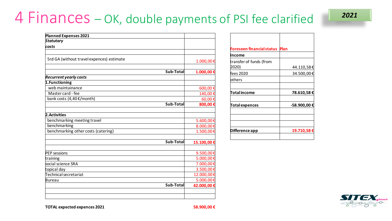### 4 Finances – OK, double payments of PSI fee clarified

| 2021 |  |
|------|--|
|      |  |

| <b>Planned Expenses 2021</b>              |           |            |
|-------------------------------------------|-----------|------------|
| <b>Statutary</b>                          |           |            |
| costs                                     |           |            |
| 5rd GA (without travel expences) estimate |           | 1.000,00€  |
|                                           | Sub-Total | 1.000,00€  |
| <b>Recurrent yearly costs</b>             |           |            |
| 1. Functioning                            |           |            |
| web maintainance                          |           | 600,00€    |
| Master card - fee                         |           | 140,00€    |
| bank costs (4,40 €/month)                 |           | 60,00€     |
|                                           | Sub-Total | 800,00€    |
| 2. Activities                             |           |            |
| benchmarking meeting travel               |           | 5.600,00€  |
| benchmarking                              |           | 8.000,00€  |
| benchmarking other costs (catering)       |           | 1.500,00€  |
|                                           | Sub-Total | 15.100,00€ |
| <b>PEP</b> sessions                       |           | 9.500,00€  |
| training                                  |           | 5.000,00€  |
| social science SRA                        |           | 7.000,00€  |
| topical day                               |           | 3.500,00€  |
| Technical secretariat                     |           | 12.000,00€ |
| Bureau                                    |           | 5.000,00€  |
|                                           | Sub-Total | 42.000,00€ |
|                                           |           |            |

| Plan         |
|--------------|
|              |
| 44.110,58€   |
| 34.500,00€   |
|              |
| 78.610,58€   |
| -58.900,00 € |
|              |
| 19.710,58€   |
|              |



**TOTAL expected expences 2021 58.900,00 €**